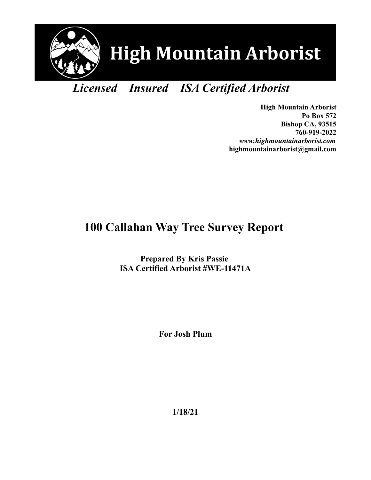

# *Licensed Insured ISA Certified Arborist*

**High Mountain Arborist Po Box 572 Bishop CA, 93515 760-919-2022** *www.highmountainarborist.com* **highmountainarborist@gmail.com**

## **100 Callahan Way Tree Survey Report**

**Prepared By Kris Passie ISA Certified Arborist #WE-11471A**

**For Josh Plum**

**1/18/21**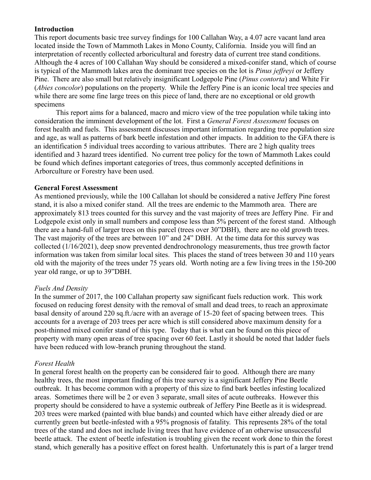## **Introduction**

This report documents basic tree survey findings for 100 Callahan Way, a 4.07 acre vacant land area located inside the Town of Mammoth Lakes in Mono County, California. Inside you will find an interpretation of recently collected arboricultural and forestry data of current tree stand conditions. Although the 4 acres of 100 Callahan Way should be considered a mixed-conifer stand, which of course is typical of the Mammoth lakes area the dominant tree species on the lot is *Pinus jeffreyi* or Jeffery Pine. There are also small but relatively insignificant Lodgepole Pine (*Pinus contorta*) and White Fir (*Abies concolor*) populations on the property. While the Jeffery Pine is an iconic local tree species and while there are some fine large trees on this piece of land, there are no exceptional or old growth specimens

This report aims for a balanced, macro and micro view of the tree population while taking into consideration the imminent development of the lot. First a *General Forest Assessment* focuses on forest health and fuels. This assessment discusses important information regarding tree population size and age, as wall as patterns of bark beetle infestation and other impacts. In addition to the GFA there is an identification 5 individual trees according to various attributes. There are 2 high quality trees identified and 3 hazard trees identified. No current tree policy for the town of Mammoth Lakes could be found which defines important categories of trees, thus commonly accepted definitions in Arborculture or Forestry have been used.

#### **General Forest Assessment**

As mentioned previously, while the 100 Callahan lot should be considered a native Jeffery Pine forest stand, it is also a mixed conifer stand. All the trees are endemic to the Mammoth area. There are approximately 813 trees counted for this survey and the vast majority of trees are Jeffery Pine. Fir and Lodgepole exist only in small numbers and compose less than 5% percent of the forest stand. Although there are a hand-full of larger trees on this parcel (trees over 30"DBH), there are no old growth trees. The vast majority of the trees are between 10" and 24" DBH. At the time data for this survey was collected (1/16/2021), deep snow prevented dendrochronology measurements, thus tree growth factor information was taken from similar local sites. This places the stand of trees between 30 and 110 years old with the majority of the trees under 75 years old. Worth noting are a few living trees in the 150-200 year old range, or up to 39"DBH.

## *Fuels And Density*

In the summer of 2017, the 100 Callahan property saw significant fuels reduction work. This work focused on reducing forest density with the removal of small and dead trees, to reach an approximate basal density of around 220 sq.ft./acre with an average of 15-20 feet of spacing between trees. This accounts for a average of 203 trees per acre which is still considered above maximum density for a post-thinned mixed conifer stand of this type. Today that is what can be found on this piece of property with many open areas of tree spacing over 60 feet. Lastly it should be noted that ladder fuels have been reduced with low-branch pruning throughout the stand.

#### *Forest Health*

In general forest health on the property can be considered fair to good. Although there are many healthy trees, the most important finding of this tree survey is a significant Jeffery Pine Beetle outbreak. It has become common with a property of this size to find bark beetles infesting localized areas. Sometimes there will be 2 or even 3 separate, small sites of acute outbreaks. However this property should be considered to have a systemic outbreak of Jeffery Pine Beetle as it is widespread. 203 trees were marked (painted with blue bands) and counted which have either already died or are currently green but beetle-infested with a 95% prognosis of fatality. This represents 28% of the total trees of the stand and does not include living trees that have evidence of an otherwise unsuccessful beetle attack. The extent of beetle infestation is troubling given the recent work done to thin the forest stand, which generally has a positive effect on forest health. Unfortunately this is part of a larger trend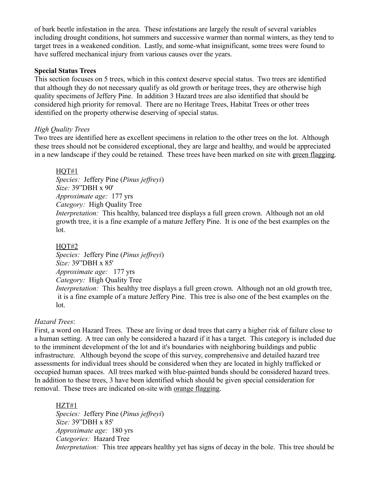of bark beetle infestation in the area. These infestations are largely the result of several variables including drought conditions, hot summers and successive warmer than normal winters, as they tend to target trees in a weakened condition. Lastly, and some-what insignificant, some trees were found to have suffered mechanical injury from various causes over the years.

#### **Special Status Trees**

This section focuses on 5 trees, which in this context deserve special status. Two trees are identified that although they do not necessary qualify as old growth or heritage trees, they are otherwise high quality specimens of Jeffery Pine. In addition 3 Hazard trees are also identified that should be considered high priority for removal. There are no Heritage Trees, Habitat Trees or other trees identified on the property otherwise deserving of special status.

#### *High Quality Trees*

Two trees are identified here as excellent specimens in relation to the other trees on the lot. Although these trees should not be considered exceptional, they are large and healthy, and would be appreciated in a new landscape if they could be retained. These trees have been marked on site with green flagging.

#### $HOT#1$

*Species:* Jeffery Pine (*Pinus jeffreyi*) *Size:* 39"DBH x 90' *Approximate age:* 177 yrs *Category:* High Quality Tree *Interpretation:* This healthy, balanced tree displays a full green crown. Although not an old growth tree, it is a fine example of a mature Jeffery Pine. It is one of the best examples on the lot.

#### HOT#2

*Species:* Jeffery Pine (*Pinus jeffreyi*) *Size:* 39"DBH x 85' *Approximate age:* 177 yrs *Category:* High Quality Tree *Interpretation:* This healthy tree displays a full green crown. Although not an old growth tree, it is a fine example of a mature Jeffery Pine. This tree is also one of the best examples on the lot.

#### *Hazard Trees*:

First, a word on Hazard Trees. These are living or dead trees that carry a higher risk of failure close to a human setting. A tree can only be considered a hazard if it has a target. This category is included due to the imminent development of the lot and it's boundaries with neighboring buildings and public infrastructure. Although beyond the scope of this survey, comprehensive and detailed hazard tree assessments for individual trees should be considered when they are located in highly trafficked or occupied human spaces. All trees marked with blue-painted bands should be considered hazard trees. In addition to these trees, 3 have been identified which should be given special consideration for removal. These trees are indicated on-site with <u>orange flagging</u>.

HZT#1 *Species:* Jeffery Pine (*Pinus jeffreyi*) *Size:* 39"DBH x 85' *Approximate age:* 180 yrs *Categories:* Hazard Tree *Interpretation:* This tree appears healthy yet has signs of decay in the bole. This tree should be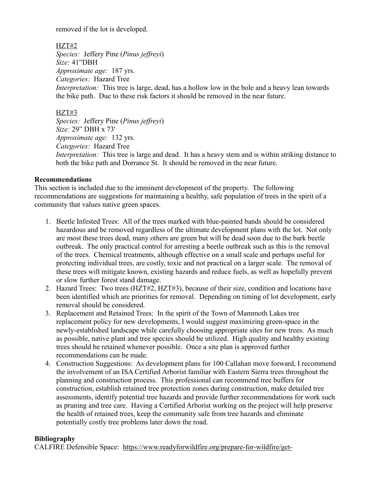removed if the lot is developed.

## HZT#2

*Species:* Jeffery Pine (*Pinus jeffreyi*) *Size:* 41"DBH *Approximate age:* 187 yrs. *Categories:* Hazard Tree *Interpretation:* This tree is large, dead, has a hollow low in the bole and a heavy lean towards the bike path. Due to these risk factors it should be removed in the near future.

## HZT#3

*Species:* Jeffery Pine (*Pinus jeffreyi*) *Size:* 29" DBH x 73' *Approximate age:* 132 yrs. *Categories:* Hazard Tree *Interpretation:* This tree is large and dead. It has a heavy stem and is within striking distance to both the bike path and Dorrance St. It should be removed in the near future.

## **Recommendations**

This section is included due to the imminent development of the property. The following recommendations are suggestions for maintaining a healthy, safe population of trees in the spirit of a community that values native green spaces.

- 1. Beetle Infested Trees: All of the trees marked with blue-painted bands should be considered hazardous and be removed regardless of the ultimate development plans with the lot. Not only are most these trees dead, many others are green but will be dead soon due to the bark beetle outbreak. The only practical control for arresting a beetle outbreak such as this is the removal of the trees. Chemical treatments, although effective on a small scale and perhaps useful for protecting individual trees, are costly, toxic and not practical on a larger scale. The removal of these trees will mitigate known, existing hazards and reduce fuels, as well as hopefully prevent or slow further forest stand damage.
- 2. Hazard Trees: Two trees (HZT#2, HZT#3), because of their size, condition and locations have been identified which are priorities for removal. Depending on timing of lot development, early removal should be considered.
- 3. Replacement and Retained Trees: In the spirit of the Town of Mammoth Lakes tree replacement policy for new developments, I would suggest maximizing green-space in the newly-established landscape while carefully choosing appropriate sites for new trees. As much as possible, native plant and tree species should be utilized. High quality and healthy existing trees should be retained whenever possible. Once a site plan is approved further recommendations can be made.
- 4. Construction Suggestions: As development plans for 100 Callahan move forward, I recommend the involvement of an ISA Certified Arborist familiar with Eastern Sierra trees throughout the planning and construction process. This professional can recommend tree buffers for construction, establish retained tree protection zones during construction, make detailed tree assessments, identify potential tree hazards and provide further recommendations for work such as pruning and tree care. Having a Certified Arborist working on the project will help preserve the health of retained trees, keep the community safe from tree hazards and eliminate potentially costly tree problems later down the road.

## **Bibliography**

CALFIRE Defensible Space: [https://www.readyforwildfire.org/prepare-for-wildfire/get-](https://www.readyforwildfire.org/prepare-for-wildfire/get-ready/defensible-space/)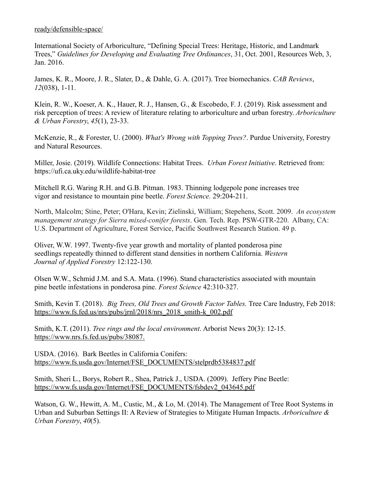[ready/defensible-space/](https://www.readyforwildfire.org/prepare-for-wildfire/get-ready/defensible-space/)

International Society of Arboriculture, "Defining Special Trees: Heritage, Historic, and Landmark Trees," *Guidelines for Developing and Evaluating Tree Ordinances*, 31, Oct. 2001, Resources Web, 3, Jan. 2016.

James, K. R., Moore, J. R., Slater, D., & Dahle, G. A. (2017). Tree biomechanics. *CAB Reviews*, *12*(038), 1-11.

Klein, R. W., Koeser, A. K., Hauer, R. J., Hansen, G., & Escobedo, F. J. (2019). Risk assessment and risk perception of trees: A review of literature relating to arboriculture and urban forestry. *Arboriculture & Urban Forestry*, *45*(1), 23-33.

McKenzie, R., & Forester, U. (2000). *What's Wrong with Topping Trees?*. Purdue University, Forestry and Natural Resources.

Miller, Josie. (2019). Wildlife Connections: Habitat Trees. *Urban Forest Initiative*. Retrieved from: https://ufi.ca.uky.edu/wildlife-habitat-tree

Mitchell R.G. Waring R.H. and G.B. Pitman. 1983. Thinning lodgepole pone increases tree vigor and resistance to mountain pine beetle. *Forest Science.* 29:204-211.

North, Malcolm; Stine, Peter; O'Hara, Kevin; Zielinski, William; Stepehens, Scott. 2009. *An ecosystem management strategy for Sierra mixed-conifer forests*. Gen. Tech. Rep. PSW-GTR-220. Albany, CA: U.S. Department of Agriculture, Forest Service, Pacific Southwest Research Station. 49 p.

Oliver, W.W. 1997. Twenty-five year growth and mortality of planted ponderosa pine seedlings repeatedly thinned to different stand densities in northern California. *Western Journal of Applied Forestry* 12:122-130.

Olsen W.W., Schmid J.M. and S.A. Mata. (1996). Stand characteristics associated with mountain pine beetle infestations in ponderosa pine. *Forest Science* 42:310-327.

Smith, Kevin T. (2018). *Big Trees, Old Trees and Growth Factor Tables.* Tree Care Industry, Feb 2018: https://www.fs.fed.us/nrs/pubs/jrnl/2018/nrs\_2018\_smith-k\_002.pdf

Smith, K.T. (2011). *Tree rings and the local environment*. Arborist News 20(3): 12-15. https://www.nrs.fs.fed.us/pubs/38087.

USDA. (2016). Bark Beetles in California Conifers: https://www.fs.usda.gov/Internet/FSE\_DOCUMENTS/stelprdb5384837.pdf

Smith, Sheri L., Borys, Robert R., Shea, Patrick J., USDA. (2009). Jeffery Pine Beetle: https://www.fs.usda.gov/Internet/FSE\_DOCUMENTS/fsbdev2\_043645.pdf

Watson, G. W., Hewitt, A. M., Custic, M., & Lo, M. (2014). The Management of Tree Root Systems in Urban and Suburban Settings II: A Review of Strategies to Mitigate Human Impacts. *Arboriculture & Urban Forestry*, *40*(5).